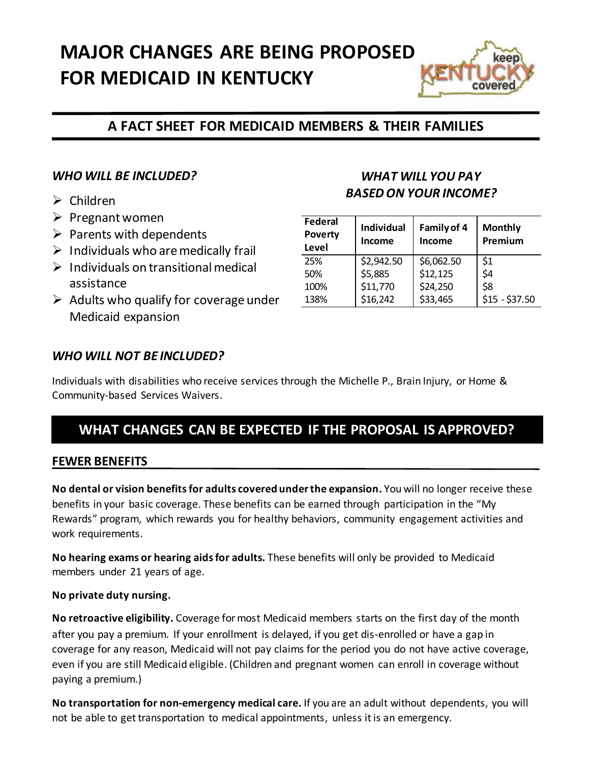# **MAJOR CHANGES ARE BEING PROPOSED FOR MEDICAID IN KENTUCKY**



# **A FACT SHEET FOR MEDICAID MEMBERS & THEIR FAMILIES**

## *WHO WILL BE INCLUDED?*

- $\triangleright$  Children
- $\triangleright$  Pregnant women
- $\triangleright$  Parents with dependents
- $\triangleright$  Individuals who are medically frail
- $\triangleright$  Individuals on transitional medical assistance
- $\triangleright$  Adults who qualify for coverage under Medicaid expansion

# *WHAT WILL YOU PAY BASED ON YOUR INCOME?*

| Federal<br><b>Poverty</b><br>Level | <b>Individual</b><br>Income | Family of 4<br>Income | <b>Monthly</b><br>Premium |
|------------------------------------|-----------------------------|-----------------------|---------------------------|
| 25%                                | \$2,942.50                  | \$6,062.50            | \$1                       |
| 50%                                | \$5,885                     | \$12,125              | \$4                       |
| 100%                               | \$11,770                    | \$24,250              | \$8                       |
| 138%                               | \$16,242                    | \$33,465              | $$15 - $37.50$            |

### *WHO WILL NOT BE INCLUDED?*

Individuals with disabilities who receive services through the Michelle P., Brain Injury, or Home & Community-based Services Waivers.

# **WHAT CHANGES CAN BE EXPECTED IF THE PROPOSAL IS APPROVED?**

#### **FEWER BENEFITS**

**No dental or vision benefitsfor adults covered under the expansion.** You will no longer receive these benefits in your basic coverage. These benefits can be earned through participation in the "My Rewards" program, which rewards you for healthy behaviors, community engagement activities and work requirements.

**No hearing exams or hearing aids for adults.** These benefits will only be provided to Medicaid members under 21 years of age.

#### **No private duty nursing.**

**No retroactive eligibility.** Coverage for most Medicaid members starts on the first day of the month after you pay a premium. If your enrollment is delayed, if you get dis-enrolled or have a gap in coverage for any reason, Medicaid will not pay claims for the period you do not have active coverage, even if you are still Medicaid eligible. (Children and pregnant women can enroll in coverage without paying a premium.)

**No transportation for non-emergency medical care.** If you are an adult without dependents, you will not be able to get transportation to medical appointments, unless it is an emergency.